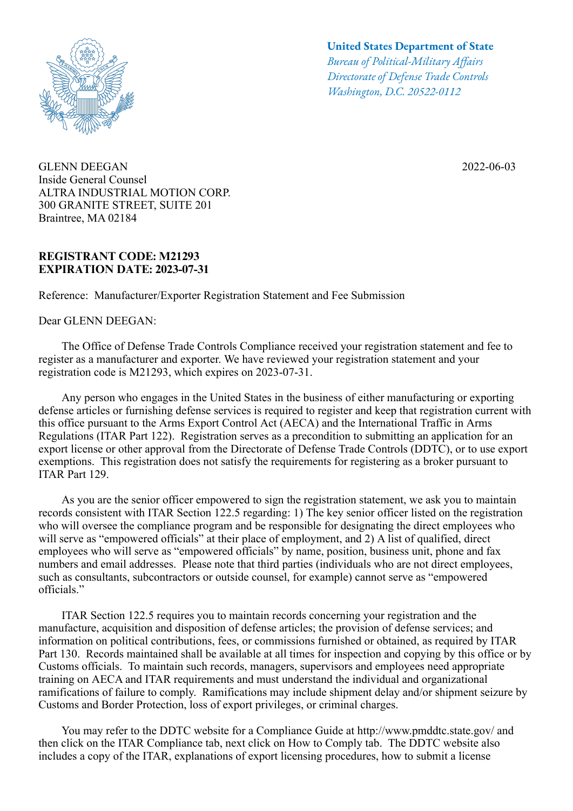

GLENN DEEGAN Inside General Counsel ALTRA INDUSTRIAL MOTION CORP. 300 GRANITE STREET, SUITE 201 Braintree, MA 02184

## **REGISTRANT CODE: M21293 EXPIRATION DATE: 2023-07-31**

Reference: Manufacturer/Exporter Registration Statement and Fee Submission

Dear GLENN DEEGAN:

## **United States Department of State**

*Bureau of Political-Military Afairs Directorate of Defense Trade Controls Washington, D.C. 20522-0112*

2022-06-03

 The Office of Defense Trade Controls Compliance received your registration statement and fee to register as a manufacturer and exporter. We have reviewed your registration statement and your registration code is M21293, which expires on 2023-07-31.

 Any person who engages in the United States in the business of either manufacturing or exporting defense articles or furnishing defense services is required to register and keep that registration current with this office pursuant to the Arms Export Control Act (AECA) and the International Traffic in Arms Regulations (ITAR Part 122). Registration serves as a precondition to submitting an application for an export license or other approval from the Directorate of Defense Trade Controls (DDTC), or to use export exemptions. This registration does not satisfy the requirements for registering as a broker pursuant to ITAR Part 129.

 As you are the senior officer empowered to sign the registration statement, we ask you to maintain records consistent with ITAR Section 122.5 regarding: 1) The key senior officer listed on the registration who will oversee the compliance program and be responsible for designating the direct employees who will serve as "empowered officials" at their place of employment, and 2) A list of qualified, direct employees who will serve as "empowered officials" by name, position, business unit, phone and fax numbers and email addresses. Please note that third parties (individuals who are not direct employees, such as consultants, subcontractors or outside counsel, for example) cannot serve as "empowered officials."

 ITAR Section 122.5 requires you to maintain records concerning your registration and the manufacture, acquisition and disposition of defense articles; the provision of defense services; and information on political contributions, fees, or commissions furnished or obtained, as required by ITAR Part 130. Records maintained shall be available at all times for inspection and copying by this office or by Customs officials. To maintain such records, managers, supervisors and employees need appropriate training on AECA and ITAR requirements and must understand the individual and organizational ramifications of failure to comply. Ramifications may include shipment delay and/or shipment seizure by Customs and Border Protection, loss of export privileges, or criminal charges.

 You may refer to the DDTC website for a Compliance Guide at http://www.pmddtc.state.gov/ and then click on the ITAR Compliance tab, next click on How to Comply tab. The DDTC website also includes a copy of the ITAR, explanations of export licensing procedures, how to submit a license